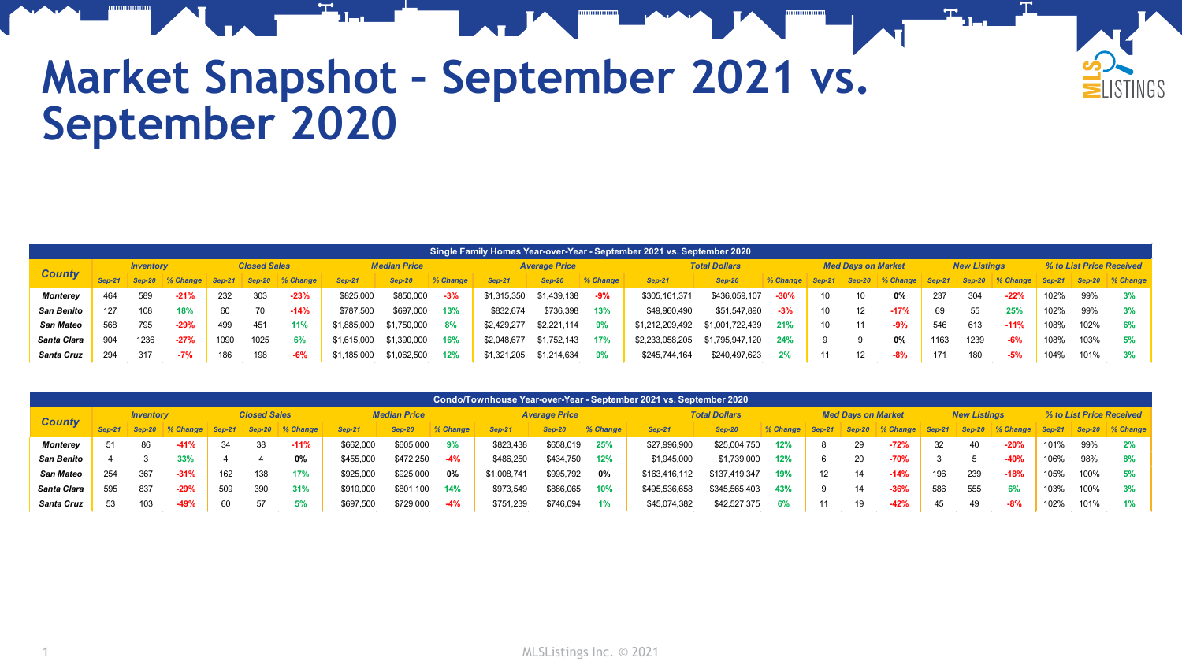

## **Market Snapshot – September 2021 vs. September 2020**

|                   | ,Single Family Homes Year-over-Year - September 2021 vs. September 2020 ˈ |                  |          |                     |          |          |                     |               |          |               |                      |          |                 |                      |                      |        |                           |          |               |                     |          |                          |          |          |
|-------------------|---------------------------------------------------------------------------|------------------|----------|---------------------|----------|----------|---------------------|---------------|----------|---------------|----------------------|----------|-----------------|----------------------|----------------------|--------|---------------------------|----------|---------------|---------------------|----------|--------------------------|----------|----------|
| <b>County</b>     |                                                                           | <b>Inventory</b> |          | <b>Closed Sales</b> |          |          | <b>Median Price</b> |               |          |               | <b>Average Price</b> |          |                 | <b>Total Dollars</b> |                      |        | <b>Med Davs on Market</b> |          |               | <b>New Listings</b> |          | % to List Price Received |          |          |
|                   |                                                                           | <b>Sep-20</b>    | % Change | $Sep-21$            | $SeD-20$ | % Change | $Sen-2$             | <b>Sep-20</b> | % Change | <b>Sep-21</b> | Sep-20               | % Change | <b>Sep-21</b>   | <b>Sep-20</b>        | <i><b>Change</b></i> | Sep-21 | $Sep-20$                  | % Change | <b>Sep-21</b> | Sep-20              | % Change | $Sep-21$                 | $Sep-20$ | % Change |
| <b>Monterev</b>   | 464                                                                       | 589              | $-21%$   | 232                 | 303      | $-23%$   | \$825,000           | \$850,000     | $-3%$    | \$1,315,350   | \$1,439,138          | -9%      | \$305,161,371   | \$436,059,107        | $-30%$               | 10     |                           | 0%       | 237           | 304                 | $-22%$   | 102%                     | 99%      | 3%       |
| <b>San Benito</b> | 127                                                                       | 108              | 18%      | 60                  | 70       | $-14%$   | \$787.500           | \$697,000     | 13%      | \$832.674     | \$736,398            | 13%      | \$49,960,490    | \$51,547,890         | $-3%$                | 10     |                           | $-17%$   | 69            | 55                  | 25%      | 102%                     | 99%      | 3%       |
| <b>San Mateo</b>  | 568                                                                       | 795              | $-29%$   | 499                 | 451      | 11%      | \$1,885,000         | \$1,750,000   | 8%       | \$2,429,277   | \$2,221,114          | 9%       | \$1,212,209,492 | \$1,001,722,439      | 21%                  | 10     |                           | $-9%$    | 546           | 613                 | $-11%$   | 108%                     | 102%     | 6%       |
| Santa Clara       | 904                                                                       | 1236             | $-27%$   | 1090                | 1025     |          | \$1,615,000         | \$1,390,000   | 16%      | \$2,048,677   | \$1,752,143          | 17%      | \$2,233,058,205 | \$1,795,947,120      | 24%                  |        |                           | 0%       | 1163          | 1239                | $-6%$    | 108%                     | 103%     | 5%       |
| Santa Cruz        | 294                                                                       | 317              | $-7%$    | 186                 | 198      | $-6%$    | 185,000             | \$1,062,500   | 12%      | \$1,321,205   | \$1.214.634          | 9%       | \$245,744,164   | \$240,497,623        |                      | 11     |                           | $-8%$    | 171           | 180                 | -5%      | 104%                     | 101%     | 3%       |

|                   | Condo/Townhouse Year-over-Year - September 2021 vs. September 2020 |                  |          |                     |               |               |                     |               |               |             |                      |          |               |                      |          |        |                           |          |          |                     |          |               |                          |             |  |
|-------------------|--------------------------------------------------------------------|------------------|----------|---------------------|---------------|---------------|---------------------|---------------|---------------|-------------|----------------------|----------|---------------|----------------------|----------|--------|---------------------------|----------|----------|---------------------|----------|---------------|--------------------------|-------------|--|
| <b>County</b>     |                                                                    | <b>Inventory</b> |          | <b>Closed Sales</b> |               |               | <b>Median Price</b> |               |               |             | <b>Average Price</b> |          |               | <b>Total Dollars</b> |          |        | <b>Med Davs on Market</b> |          |          | <b>New Listings</b> |          |               | % to List Price Received |             |  |
|                   |                                                                    | <b>Sep-20</b>    | % Change | <b>Sep-21</b>       | <b>Sep-20</b> | <b>Change</b> | $Sep-21$            | <b>Sep-20</b> | <b>Change</b> | Sep-2       | <b>Sep-20</b>        | % Change | <b>Sep-21</b> | <b>Sep-20</b>        | % Change | Sep-21 | $Sep-20$                  | % Change | $Sen-21$ | $Sep-20$            | % Change | <b>Sep-21</b> | $Sep-20$                 | $\%$ Change |  |
| <b>Monterey</b>   | 51                                                                 | 86               | $-41%$   | 34                  | 38            | $-11%$        | \$662,000           | \$605,000     | 9%            | \$823,438   | \$658,019            | 25%      | \$27,996,900  | \$25,004,750         | 12%      |        | 29                        | $-72%$   | 32       | 40                  | $-20%$   | 101%          | 99%                      | 2%          |  |
| <b>San Benito</b> |                                                                    |                  | 33%      |                     |               | 0%            | \$455.000           | \$472.250     | $-4%$         | \$486,250   | \$434,750            | 12%      | \$1,945,000   | \$1,739,000          | 12%      |        | 20                        | $-70%$   |          |                     | $-40%$   | 106%          | 98%                      | 8%          |  |
| San Mateo         | 254                                                                | 367              | $-31%$   | 162                 | 138           | 17%           | \$925,000           | \$925,000     | 0%            | \$1,008,741 | \$995,792            | $0\%$    | \$163,416,112 | \$137,419,347        | 19%      | 12     | 14                        | $-14%$   | 196      | 239                 | $-18%$   | 105%          | 100%                     | 5%          |  |
| Santa Clara       | 595                                                                | 837              | $-29%$   | 509                 | 390           | 31%           | \$910,000           | \$80          | 14%           | \$973,549   | \$886,065            | 10%      | \$495,536,658 | \$345,565,403        | 43%      |        | 14                        | $-36%$   | 586      | 555                 | 6%       | 103%          | 100%                     | 3%          |  |
| Santa Cruz        | 53                                                                 | 103              | $-49%$   | 60                  | 57            | 5%            | \$697,500           | \$729.000     | $-4%$         | \$751,239   | \$746.094            | $1\%$    | \$45,074,382  | \$42,527,375         | 6%       | 11     | 19                        | $-42%$   | 45       | 49                  | $-8%$    | 102%          | 101%                     | 1%          |  |